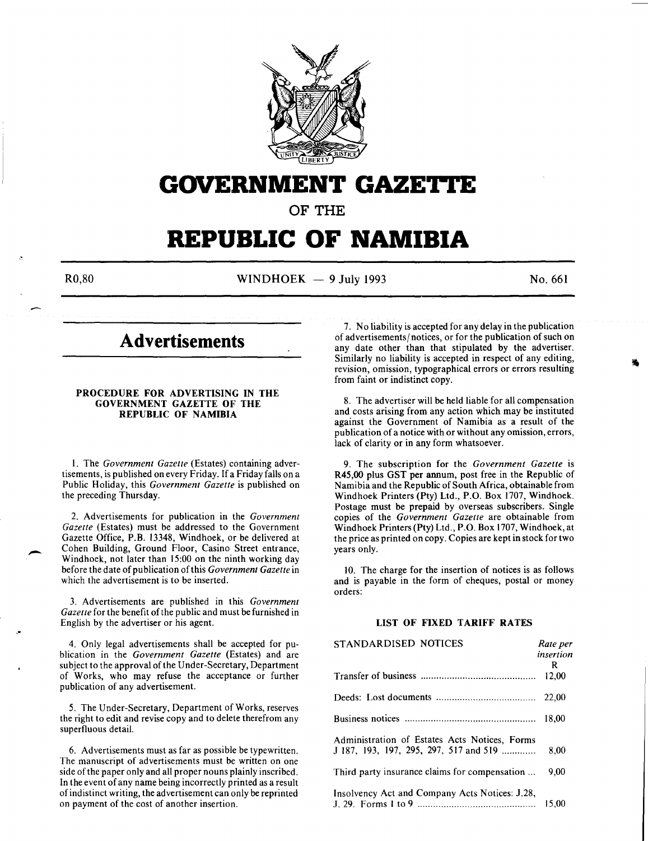

# **GOVERNMENT GAZETTE**

**OF THE** 

# **REPUBLIC OF NAMIBIA**

-

 $R0,80$  WINDHOEK - 9 July 1993 No. 661

# **Advertisements**

#### PROCEDURE FOR ADVERTISING IN THE GOVERNMENT GAZETTE OF THE REPUBLIC OF NAMIBIA

I. The *Government Gazette* (Estates) containing advertisements, is published on every Friday. If a Friday falls on a Public Holiday, this *Government Gazette* is published on the preceding Thursday.

2. Advertisements for publication in the *Government Gazette* (Estates) must be addressed to the Government Gazette Office, P.B. 13348, Windhoek, or be delivered at Cohen Building, Ground Floor, Casino Street entrance, Windhoek, not later than 15:00 on the ninth working day before the date of publication of this *Government Gazette* in which the advertisement is to be inserted.

3. Advertisements are published in this *Government Gazette* for the benefit of the public and must be furnished in English by the advertiser or his agent.

4. Only legal advertisements shall be accepted for publication in the *Government Gazette* (Estates) and are subject to the approval of the Under-Secretary, Department of Works, who may refuse the acceptance or further publication of any advertisement.

5. The Under-Secretary, Department of Works, reserves the right to edit and revise copy and to delete therefrom any superfluous detail.

6. Advertisements must as far as possible be typewritten. The manuscript of advertisements must be written on one side of the paper only and all proper nouns plainly inscribed. In the event of any name being incorrectly printed as a result of indistinct writing, the advertisement can only be reprinted on payment of the cost of another insertion.

7. No liability is accepted for any delay in the publication of advertisements/ notices, or for the publication of such on any date other than that stipulated by the advertiser. Similarly no liability is accepted in respect of any editing, revision, omission, typographical errors or errors resulting from faint or indistinct copy.

8. The advertiser will be held liable for all compensation and costs arising from any action which may be instituted against the Government of Namibia as a result of the publication of a notice with or without any omission, errors, lack of clarity or in any form whatsoever.

9. The subscription for the *Government Gazette* is R45,00 plus GST per annum, post free in the Republic of Namibia and the Republic of South Africa, obtainable from Windhoek Printers (Pty) Ltd., P.O. Box 1707, Windhoek. Postage must be prepaid by overseas subscribers. Single copies of the *Government Gazette* are obtainable from Windhoek Printers (Pty) Ltd., P.O. Box 1707, Windhoek, at the price as printed on copy. Copies are kept in stock for two years only.

10. The charge for the insertion of notices is as follows and is payable in the form of cheques, postal or money orders:

# LIST OF FIXED TARIFF RATES

| STANDARDISED NOTICES                                                                    | Rate per<br>insertion |
|-----------------------------------------------------------------------------------------|-----------------------|
|                                                                                         | R.<br>12.00           |
|                                                                                         | 22,00                 |
|                                                                                         | 18.00                 |
| Administration of Estates Acts Notices, Forms<br>J 187, 193, 197, 295, 297, 517 and 519 | 8.00                  |
| Third party insurance claims for compensation                                           | 9.00                  |
| Insolvency Act and Company Acts Notices: J.28,                                          | 15,00                 |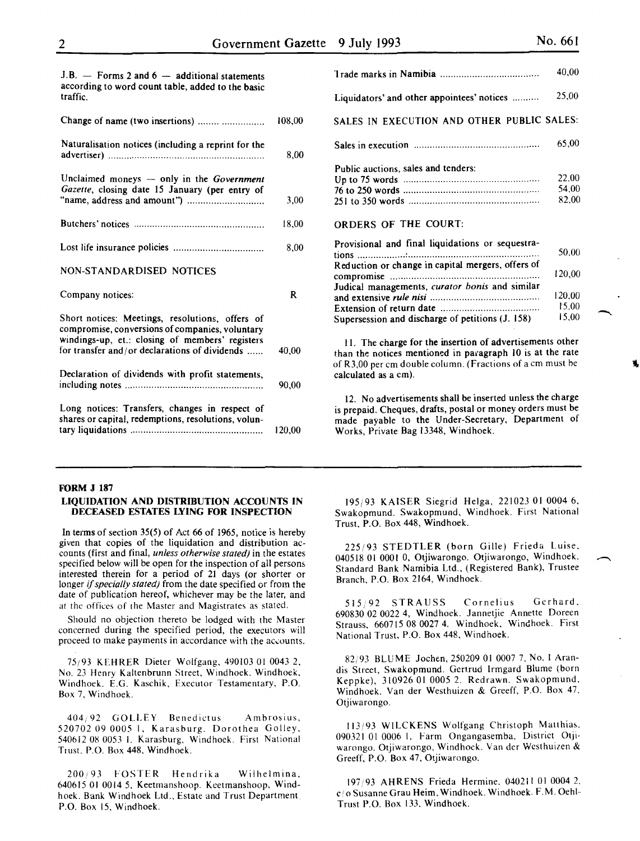| $J.B.$ - Forms 2 and 6 - additional statements<br>according to word count table, added to the basic<br>traffic.                                                                                        |        |
|--------------------------------------------------------------------------------------------------------------------------------------------------------------------------------------------------------|--------|
| Change of name (two insertions)                                                                                                                                                                        | 108,00 |
| Naturalisation notices (including a reprint for the                                                                                                                                                    | 8.00   |
| Unclaimed moneys - only in the Government<br>Gazette, closing date 15 January (per entry of                                                                                                            | 3.00   |
|                                                                                                                                                                                                        | 18,00  |
|                                                                                                                                                                                                        | 8.00   |
| NON-STANDARDISED NOTICES                                                                                                                                                                               |        |
| Company notices:                                                                                                                                                                                       | R      |
| Short notices: Meetings, resolutions, offers of<br>compromise, conversions of companies, voluntary<br>windings-up, et.: closing of members' registers<br>for transfer and/or declarations of dividends | 40,00  |
| Declaration of dividends with profit statements,                                                                                                                                                       | 90,00  |
| Long notices: Transfers, changes in respect of<br>shares or capital, redemptions, resolutions, volun-                                                                                                  | 120,00 |

#### FORM J 187 LIQUIDATION AND DISTRIBUTION ACCOUNTS IN DECEASED ESTATES LYING FOR INSPECTION

In terms of section 35(5) of Act 66 of 1965, notice is hereby given that copies of the liquidation and distribution accounts (first and final, *unless otherwise stated)* in the estates specified below will be open for the inspection of all persons interested therein for a period of 21 days (or shorter or longer if *specially stated)* from the date specified or from the date of publication hereof, whichever may be the later, and at the offices of the Master and Magistrates as stated.

Should no objection thereto be lodged with the Master concerned during the specified period, the executors will proceed to make payments in accordance with the accounts.

75;93 KEHRER Dieter Wolfgang, 490103 01 0043 2, No. 23 Henry Kaltenbrunn Street, Windhoek. Windhoek, Windhoek. E.G. Kaschik, Executor Testamentary, P.O. Box 7, Windhoek.

404/92 GOLLEY Benedictus Ambrosius, 520702 09 0005 I, Karasburg. Dorothea Golley, 540612 08 0053 I. Karasburg, Windhoek. First National Trust. P.O. Box 448, Windhoek.

200/93 FOSTER Hendrika Wilhelmina, 640615 01 0014 5, Keetmanshoop. Keetmanshoop, Windhoek. Bank Windhoek Ltd., Estate and Trust Department P.O. Box 15, Windhoek.

|                                                                                                       | 40.00                   |
|-------------------------------------------------------------------------------------------------------|-------------------------|
| Liquidators' and other appointees' notices                                                            | 25,00                   |
| SALES IN EXECUTION AND OTHER PUBLIC SALES:                                                            |                         |
|                                                                                                       | 65,00                   |
| Public auctions, sales and tenders:                                                                   | 22,00<br>54.00<br>82.00 |
| <b>ORDERS OF THE COURT:</b>                                                                           |                         |
| Provisional and final liquidations or sequestra-<br>Reduction or change in capital mergers, offers of | 50.00                   |
|                                                                                                       | 120,00                  |
| Judical managements, curator bonis and similar                                                        | 120,00                  |
|                                                                                                       | 15.00                   |
| Supersession and discharge of petitions (J. 158)                                                      | 15,00                   |

II. The charge for the insertion of advertisements other than the notices mentioned in paragraph 10 is at the rate of R3,00 per em double column. (Fractions of a em must he calculated as a em).

12. No advertisements shall be inserted unless the charge is prepaid. Cheques, drafts, postal or money orders must be made payable to the Under-Secretary, Department of Works, Private Bag 13348, Windhoek.

195;93 KAISER Siegrid Helga, 221023 01 0004 6, Swakopmund. Swakopmund, Windhoek. First National Trust, P.O. Box 448, Windhoek.

225/93 STEDTLER (born Gille) Frieda Luise, 040518 01 0001 0, Otjiwarongo. Otjiwarongo, Windhoek. Standard Bank Namibia Ltd., (Registered Bank), Trustee Branch, P.O. Box 2164, Windhoek.

515/92 STRAUSS Cornelius Gerhard, 690830 02 0022 4, Windhoek. Jannetjie Annette Doreen Strauss, 660715 08 0027 4. Windhoek, Windhoek. First National Trust, P.O. Box 448, Windhoek.

82;93 BLUME Jochen, 250209 01 0007 7. No. I Arandis Street, Swakopmund. Gertrud lrmgard Blume (born Keppke), 310926 01 0005 2. Redrawn. Swakopmund. Windhoek. Van der Westhuizen & Greeff, P.O. Box 47. Otjiwarongo.

113/93 WILCKENS Wolfgang Christoph Matthias. 090321 01 0006 1. Farm Ongangasemba, District Otjiwarongo. Otjiwarongo, Windhoek. Vander Westhuizen & Greeff, P.O. Box 47, Otjiwarongo.

197/93 AHRENS Frieda Hermine. 040211 01 0004 2. c/o Susanne Grau Heim. Windhoek. Windhoek. F.M. Oehl-Trust P.O. Box 133, Windhoek.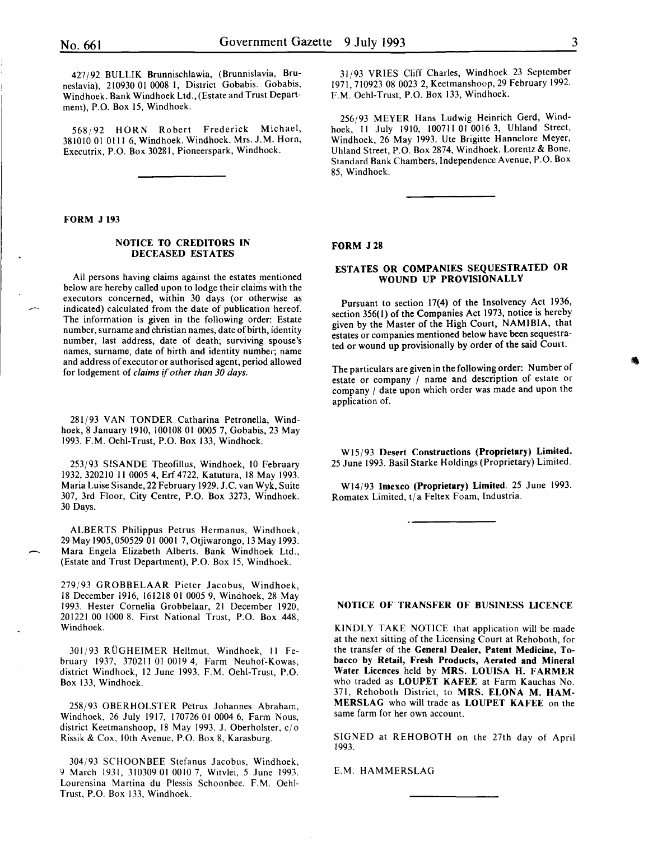427192 BULLIK Brunnischlawia, (Brunnislavia, Bruneslavia), 210930 01 0008 1, District Gobabis. Gobabis, Windhoek. Bank Windhoek Ltd., (Estate and Trust Department), P.O. Box 15, Windhoek.

568192 HORN Robert Frederick Michael, 381010 01 0111 6, Windhoek. Windhoek. Mrs. J.M. Horn, Executrix, P.O. Box 30281, Pioneerspark, Windhoek.

FORM J 193

# NOTICE TO CREDITORS IN DECEASED ESTATES

All persons having claims against the estates mentioned below are hereby called upon to lodge their claims with the executors concerned, within 30 days (or otherwise as indicated) calculated from the date of publication hereof. The information is given in the following order: Estate number, surname and christian names, date of birth, identity number, last address, date of death; surviving spouse's names, surname, date of birth and identity number; name and address of executor or authorised agent, period allowed for lodgement of *claims* if *other than 30 days.* 

281/93 VAN TONDER Catharina Petronella, Windhoek, 8 January 1910, 100108 01 0005 7, Gobabis, 23 May 1993. F.M. Oehl-Trust, P.O. Box 133, Windhoek.

253193 SISANDE Theofillus, Windhoek, 10 February 1932,320210 II 0005 4, Erf4722, Katutura, 18 May 1993. Maria Luise Sisande, 22 February 1929. J.C. van Wyk, Suite 307, 3rd Floor, City Centre, P.O. Box 3273, Windhoek. 30 Days.

ALBERTS Philippus Petrus Hermanus, Windhoek, 29 May 1905, 050529 01 0001 7, Otjiwarongo, 13 May 1993. Mara Engela Elizabeth Alberts. Bank Windhoek Ltd., (Estate and Trust Department), P.O. Box 15, Windhoek.

279193 GROBBELAAR Pieter Jacobus, Windhoek, 18 December 1916, 161218 01 0005 9, Windhoek, 28 May 1993. Hester Cornelia Grobbelaar, 21 December 1920, 201221 00 1000 8. First National Trust, P.O. Box 448, Windhoek.

301193 RUGHEIMER Hellmut, Windhoek, II February 1937, 370211 01 0019 4, Farm Neuhof-Kowas, district Windhoek, 12 June 1993. F.M. Oehi-Trust, P.O. Box 133, Windhoek.

258/93 OBERHOLSTER Petrus Johannes Abraham, Windhoek, 26 July 1917, 170726 01 0004 6, Farm Nous, district Keetmanshoop, 18 May 1993. J. Oberholster, *cl* o Rissik & Cox, lOth Avenue, P.O. Box 8, Karasburg.

304193 SCHOONBEE Stefanus Jacobus, Windhoek, 9 March 1931, 310309 01 0010 7, Witvlei, *5* June 1993. Lourensina Martina du Plessis Schoonbee. F.M. Oehl-Trust, P.O. Box 133, Windhoek.

31 *193* VRIES Cliff Charles, Windhoek 23 September 1971,710923 08 0023 2, Keetmanshoop, 29 February 1992. F.M. Oehl-Trust, P.O. Box 133, Windhoek.

256193 MEYER Hans Ludwig Heinrich Gerd, Windhoek, Il July 1910, 100711 01 0016 3, Uhland Street, Windhoek, 26 May 1993. Ute Brigitte Hannelore Meyer, Uhland Street, P.O. Box 2874, Windhoek. Lorentz & Bone, Standard Bank Chambers, Independence Avenue, P.O. Box 85, Windhoek.

#### FORM J28

# ESTATES OR COMPANIES SEQUESTRATED OR WOUND UP PROVISIONALLY

Pursuant to section 17(4) of the Insolvency Act 1936, section 356(1) of the Companies Act 1973, notice is hereby given by the Master of the High Court, NAMIBIA, that estates or companies mentioned below have been sequestrated or wound up provisionally by order of the said Court.

The particulars are given in the following order: Number of estate or company / name and description of estate or company / date upon which order was made and upon the application of.

W15/93 Desert Constructions (Proprietary) Limited. 25 June 1993. Basil Starke Holdings (Proprietary) Limited.

Wl4193 Imexco (Proprietary) Limited. 25 June 1993. Romatex Limited, *tl* a Feltex Foam, Industria.

NOTICE OF TRANSFER OF BUSINESS LICENCE

KINDLY TAKE NOTICE that application will be made at the next sitting of the Licensing Court at Rehoboth, for the transfer of the General Dealer, Patent Medicine, Tobacco by Retail, Fresh Products, Aerated and Mineral Water Licences held by MRS. LOUISA H. FARMER who traded as LOUPET KAFEE at Farm Kauchas No. 371, Rehoboth District, to MRS. ELONA M. HAM-MERSLAG who will trade as LOUPET KAFEE on the same farm for her own account.

SIGNED at REHOBOTH on the 27th day of April 1993.

E.M. HAMMERSLAG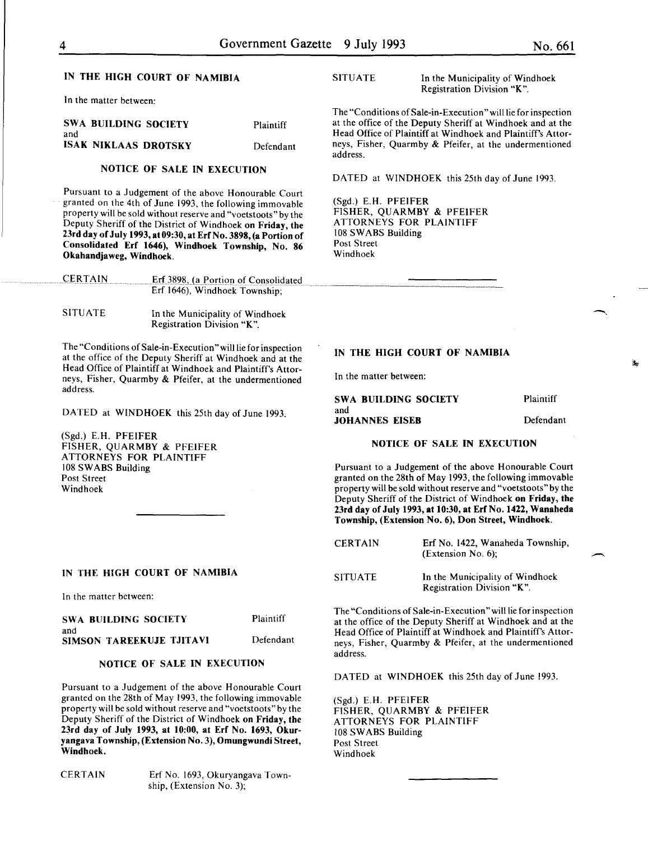# IN THE HIGH COURT OF NAMIBIA

In the matter between:

|     | SWA BUILDING SOCIETY        | <b>Plaintiff</b> |
|-----|-----------------------------|------------------|
| and |                             |                  |
|     | <b>ISAK NIKLAAS DROTSKY</b> | Defendant        |

# NOTICE OF SALE IN EXECUTION

Pursuant to a Judgement of the above Honourable Court granted on the 4th of June 1993, the following immovable property will be sold without reserve and "voetstoots" by the Deputy Sheriff of the District of Windhoek on Friday, the 23rd day of July 1993,at09:30,at ErfNo. 3898,(a Portion of Consolidated Erf 1646), Windhoek Township, No. 86 Okahandjaweg, Windhoek.

| <b>CERTAIN</b> | Erf 3898, (a Portion of Consolidated |  |
|----------------|--------------------------------------|--|
|                | Erf 1646), Windhoek Township;        |  |

| <b>SITUATE</b> | In the Municipality of Windhoek |
|----------------|---------------------------------|
|                | Registration Division "K".      |

The "Conditions of Sale-in-Execution" will lie for inspection at the office of the Deputy Sheriff at Windhoek and at the Head Office of Plaintiff at Windhoek and Plaintiff's Attorneys, Fisher, Quarmby & Pfeifer, at the undermentioned address.

DATED at WINDHOEK this 25th day of June 1993.

(Sgd.) E.H. PFEIFER FISHER, QUARMBY & PFEIFER ATTORNEYS FOR PLAINTIFF 108 SWABS Building Post Street Windhoek

#### IN THE HIGH COURT OF NAMIBIA

In the matter between:

| SWA BUILDING SOCIETY     | Plaintiff |
|--------------------------|-----------|
| and                      |           |
| SIMSON TAREEKUJE TJITAVI | Defendant |

# NOTICE OF SALE IN EXECUTION

Pursuant to a Judgement of the above Honourable Court granted on the 28th of May 1993, the following immovable property will be sold without reserve and "voetstoots" by the Deputy Sheriff of the District of Windhoek on Friday, the 23rd day of July 1993, at 10:00, at Erf No. 1693, Okuryangava Township, (Extension No.3), Omungwundi Street, Windhoek.

CERTAIN Erf No. 1693, Okuryangava Township, (Extension No. 3);

SITUATE In the Municipality of Windhoek Registration Division "K".

The "Conditions of Sale-in-Execution" will lie for inspection at the office of the Deputy Sheriff at Windhoek and at the Head Office of Plaintiff at Windhoek and Plaintiff's Attorneys, Fisher, Quarmby & Pfeifer, at the undermentioned address.

DATED at WINDHOEK this 25th day of June 1993.

(Sgd.) E.H. PFEIFER FISHER, QUARMBY & PFEIFER ATTORNEYS FOR PLAINTIFF 108 SWABS Building Post Street Windhoek

#### IN THE HIGH COURT OF NAMIBIA

In the matter between:

SWA BUILDING SOCIETY and JOHANNES EISEB Plaintiff

Defendant

# NOTICE OF SALE IN EXECUTION

Pursuant to a Judgement of the above Honourable Court granted on the 28th of May 1993, the following immovable property will be sold without reserve and "voetstoots" by the Deputy Sheriff of the District of Windhoek on Friday, the 23rd day of July 1993, at 10:30, at Erf No. 1422, Wanaheda Township, (Extension No.6), Don Street, Windhoek.

| <b>CERTAIN</b> | Erf No. 1422, Wanaheda Township,<br>$(Extension No. 6)$ ; |
|----------------|-----------------------------------------------------------|
| <b>SITUATE</b> | In the Municipality of Windhoek                           |

In the Municip Registration Division "K".

The "Conditions of Sale-in-Execution" will lie for inspection at the office of the Deputy Sheriff at Windhoek and at the Head Office of Plaintiff at Windhoek and Plaintiff's Attorneys, Fisher, Quarmby & Pfeifer, at the undermentioned address.

DATED at WINDHOEK this 25th day of June 1993.

(Sgd.) E.H. PFEIFER FISHER, QUARMBY & PFEIFER ATTORNEYS FOR PLAINTIFF 108 SWABS Building Post Street Windhoek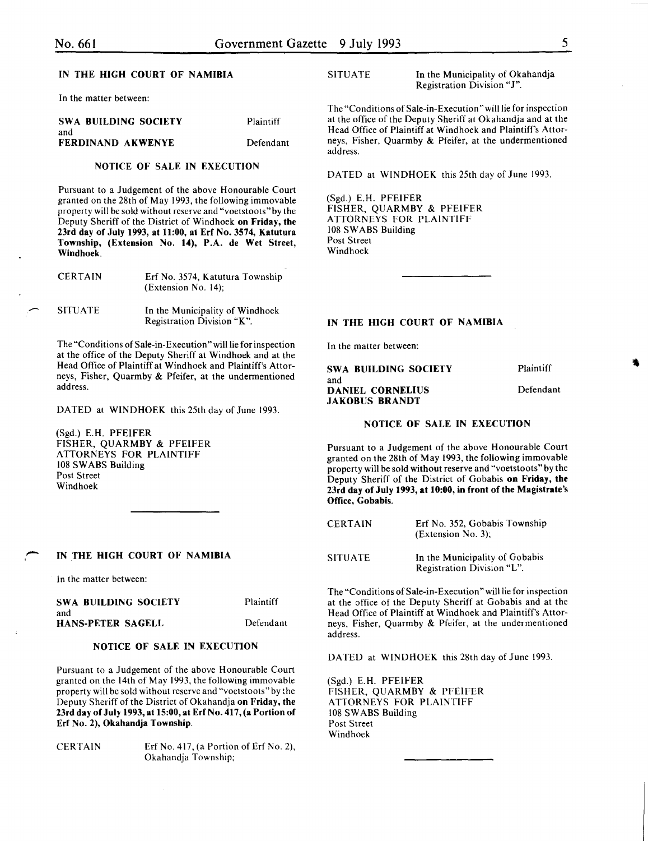# IN THE HIGH COURT OF NAMIBIA

In the matter between:

| SWA BUILDING SOCIETY | Plaintiff |
|----------------------|-----------|
| and                  |           |
| FERDINAND AKWENYE    | Defendant |

## NOTICE OF SALE IN EXECUTION

Pursuant to a Judgement of the above Honourable Court granted on the 28th of May 1993, the following immovable property will be sold without reserve and "voetstoots" by the Deputy Sheriff of the District of Windhoek on Friday, the 23rd day of July 1993, at 11:00, at Erf No. 3574, Katutura Township, (Extension No. 14), P.A. de Wet Street, Windhoek.

| <b>CERTAIN</b> | Erf No. 3574, Katutura Township<br>$(Extension No. 14)$ : |
|----------------|-----------------------------------------------------------|
|                |                                                           |

SITUATE In the Municipality of Windhoek

The "Conditions of Sale-in-Execution" will lie for inspection at the office of the Deputy Sheriff at Windhoek and at the Head Office of Plaintiff at Windhoek and Plaintiff's Attorneys, Fisher, Quarmby & Pfeifer, at the undermentioned

Registration Division "K".

DATED at WINDHOEK this 25th day of June 1993.

(Sgd.) E.H. PFEIFER FISHER, QUARMBY & PFEIFER ATTORNEYS FOR PLAINTIFF 108 SWABS Building Post Street Windhoek

IN THE HIGH COURT OF NAMIBIA

In the matter between:

address.

-

| SWA BUILDING SOCIETY | Plaintiff |
|----------------------|-----------|
| and                  |           |
| HANS-PETER SAGELL    | Defendant |

#### NOTICE OF SALE IN EXECUTION

Pursuant to a Judgement of the above Honourable Court granted on the 14th of May 1993, the following immovable property will be sold without reserve and "voetstoots" by the Deputy Sheriff of the District of Okahandja on Friday, the 23rd day of Jul} 1993, at 15:00, at Erf No. 417, (a Portion of Erf No. 2), Okahandja Township.

CERTAIN Erf No. 417, (a Portion of Erf No. 2), Okahandja Township;

SITUATE In the Municipality of Okahandja Registration Division "J".

The "Conditions of Sale-in-Execution" will lie for inspection at the office of the Deputy Sheriff at Okahandja and at the Head Office of Plaintiff at Windhoek and Plaintiff's Attorneys, Fisher, Quarmby & Pfeifer, at the undermentioned address.

DATED at WINDHOEK this 25th day of June 1993.

(Sgd.) E.H. PFEIFER FISHER, QUARMBY & PFEIFER ATTORNEYS FOR PLAINTIFF 108 SWABS Building Post Street Windhoek

#### IN THE HIGH COURT OF NAMIBIA

In the matter between:

| <b>SWA BUILDING SOCIETY</b>                      | Plaintiff |
|--------------------------------------------------|-----------|
| and<br>DANIEL CORNELIUS<br><b>JAKOBUS BRANDT</b> | Defendant |

#### NOTICE OF SALE IN EXECUTION

Pursuant to a Judgement of the above Honourable Court granted on the 28th of May 1993, the following immovable property will be sold without reserve and "voetstoots" by the Deputy Sheriff of the District of Gobabis on Friday, the 23rd day of July 1993, at 10:00, in front of the Magistrate's Office, Gobabis.

| <b>CERTAIN</b> | Erf No. 352, Gobabis Township<br>(Extension No. 3);          |
|----------------|--------------------------------------------------------------|
| <b>SITUATE</b> | In the Municipality of Gobabis<br>Registration Division "L". |

The "Conditions of Sale-in-Execution" will lie for inspection at the office of the Deputy Sheriff at Gobabis and at the Head Office of Plaintiff at Windhoek and Plaintiff's Attorneys, Fisher, Quarmby & Pfeifer, at the undermentioned address.

DATED at WINDHOEK this 28th day of June 1993.

(Sgd.) E.H. PFEIFER FISHER, QUARMBY & PFEIFER ATTORNEYS FOR PLAINTIFF 108 SWABS Building Post Street Windhoek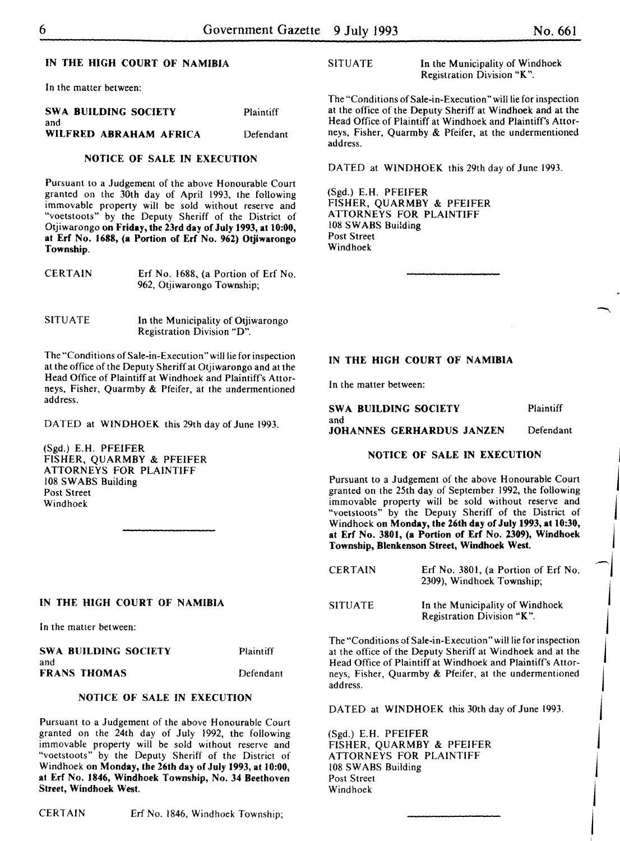# IN THE HIGH COURT OF NAMIBIA

In the matter between:

|     | SWA BUILDING SOCIETY | Plaintiff |
|-----|----------------------|-----------|
| and |                      |           |

WILFRED ABRAHAM AFRICA Defendant

# NOTICE OF SALE IN EXECUTION

Pursuant to a Judgement of the above Honourable Court granted on the 30th day of April 1993, the following immovable property will be sold without reserve and "voetstoots" by the Deputy Sheriff of the District of Otjiwarongo on Friday, the 23rd day of July 1993, at 10:00, at Erf No. 1688, (a Portion of Erf No. 962) Otjiwarongo Township.

| <b>CERTAIN</b> | Erf No. 1688, (a Portion of Erf No. |  |
|----------------|-------------------------------------|--|
|                | 962, Otjiwarongo Township;          |  |

SITUATE In the Municipality of Otiiwarongo Registration Division "D".

The "Conditions of Sale-in-Execution" will lie for inspection at the office of the Deputy Sheriff at Otjiwarongo and at the Head Office of Plaintiff at Windhoek and Plaintiff's Attorneys, Fisher, Quarmby & Pfeifer, at the undermentioned address.

DATED at WINDHOEK this 29th day of June 1993.

(Sgd.) E.H. PFEIFER FISHER, QUARMBY & PFEIFER ATTORNEYS FOR PLAINTIFF 108 SWABS Building Post Street Windhoek

#### IN THE HIGH COURT OF NAMIBIA

In the matter between:

| SWA BUILDING SOCIETY | Plaintiff |
|----------------------|-----------|
| and                  |           |
| FRANS THOMAS         | Defendant |

# NOTICE OF SALE IN EXECUTION

Pursuant to a Judgement of the above Honourable Court granted on the 24th day of July 1992, the following immovable property will be sold without reserve and "voetstoots" by the Deputy Sheriff of the District of Windhoek on Monday, the 26th day of July 1993, at 10:00, at Erf No. 1846, Windhoek Township, No. 34 Beethoven Street, Windhoek West.

SITUATE In the Municipality of Windhoek Registration Division "K ".

The "Conditions of Sale-in-Execution" will lie for inspection at the office of the Deputy Sheriff at Windhoek and at the Head Office of Plaintiff at Windhoek and Plaintiff's Attorneys, Fisher, Quarmby & Pfeifer, at the undermentioned address.

DATED at WINDHOEK this 29th day of June 1993.

(Sgd.) E.H. PFEIFER FISHER, QUARMBY & PFEIFER ATTORNEYS FOR PLAINTIFF 108 SWABS Building Post Street Windhoek

#### IN THE HIGH COURT OF NAMIBIA

In the matter between:

SWA BUILDING SOCIETY and JOHANNES GERHARDUS JANZEN Plaintiff Defendant

#### NOTICE OF SALE IN EXECUTION

Pursuant to a Judgement of the above Honourable Court granted on the 25th day of September 1992, the following immovable property will be sold without reserve and "voetstoots" by the Deputy Sheriff of the District of Windhoek on Monday, the 26th day of July 1993, at 10:30, at Erf No. 3801, (a Portion of Erf No. 2309), Windhoek Township, Blenkenson Street, Windhoek West.

| <b>CERTAIN</b> | Erf No. 3801, (a Portion of Erf No.<br>2309), Windhoek Township; |
|----------------|------------------------------------------------------------------|
| <b>SITUATE</b> | In the Municipality of Windhoek<br>Registration Division "K".    |

The "Conditions of Sale-in-Execution" will lie for inspection at the office of the Deputy Sheriff at Windhoek and at the Head Office of Plaintiff at Windhoek and Plaintiff's Attorneys, Fisher, Quarmby & Pfeifer, at the undermentioned address.

DATED at WINDHOEK this 30th day of June 1993.

 $\mathbf{I}$ 

j

 $\mathbf{I}$ 

 $\mathbf{I}$ 

 $\mathbf{I}$ 

 $\mathbf{I}$ 

~j

j

j

I

j

 $\mathbf{I}$ 

 $\mathbf{I}$ 

(Sgd.) E.H. PFEIFER FISHER, QUARMBY & PFEIFER ATTORNEYS FOR PLAINTIFF 108 SWABS Building Post Street<br>Windhoek Windhoek **in the community of the community**  $\mathbf{w}$  is the community of the community of the community of the community of the community of the community of the community of the community of the community of the communit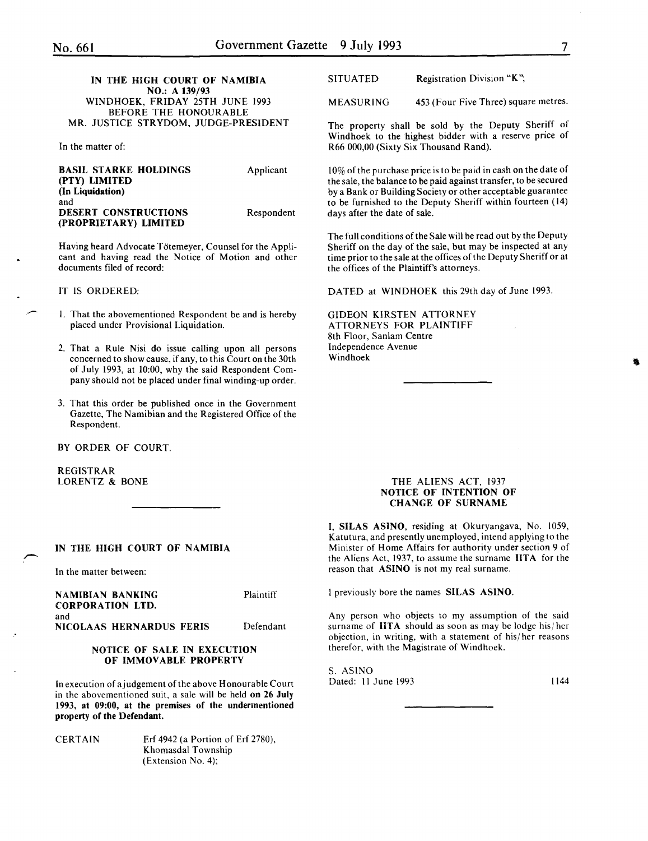#### IN THE HIGH COURT OF NAMIBIA NO.: A 139/93 WINDHOEK, FRIDAY 25TH JUNE 1993 BEFORE THE HONOURABLE MR. JUSTICE STRYDOM, JUDGE-PRESIDENT

In the matter of:

| <b>BASIL STARKE HOLDINGS</b> | Applicant  |
|------------------------------|------------|
| (PTY) LIMITED                |            |
| (In Liquidation)             |            |
| and                          |            |
| <b>DESERT CONSTRUCTIONS</b>  | Respondent |
| (PROPRIETARY) LIMITED        |            |

Having heard Advocate Totemeyer, Counsel for the Applicant and having read the Notice of Motion and other documents filed of record:

#### IT IS ORDERED:

- I. That the abovementioned Respondent be and is hereby placed under Provisional Liquidation.
- 2. That a Rule Nisi do issue calling upon all persons concerned to show cause, if any, to this Court on the 30th of July 1993, at 10:00, why the said Respondent Company should not be placed under final winding-up order.
- 3. That this order be published once in the Government Gazette, The Namibian and the Registered Office of the Respondent.

BY ORDER OF COURT.

REGISTRAR LORENTZ & BONE

# IN THE HIGH COURT OF NAMIBIA

In the matter between:

NAMIBIAN BANKING CORPORATION LTD.

Plaintiff

and NICOLAAS HERNARDUS FERIS Defendant

#### NOTICE OF SALE IN EXECUTION OF IMMOVABLE PROPERTY

In execution of a judgement of the above Honourable Court in the abovementioned suit, a sale will be held on 26 July 1993, at 09:00, at the premises of the undermentioned property of the Defendant.

CERTAIN Erf 4942 (a Portion of Erf 2780), Khomasdal Township (Extension No.4);

SITUATED Registration Division "K";

MEASURING 453 (Four Five Three) square metres.

The property shall be sold by the Deputy Sheriff of Windhoek to the highest bidder with a reserve price of R66 000,00 (Sixty Six Thousand Rand).

10% of the purchase price is to be paid in cash on the date of the sale, the balance to be paid against transfer, to be secured by a Bank or Building Society or other acceptable guarantee to be furnished to the Deputy Sheriff within fourteen (14) days after the date of sale.

The full conditions of the Sale will be read out by the Deputy Sheriff on the day of the sale, but may be inspected at any time prior to the sale at the offices of the Deputy Sheriff or at the offices of the Plaintiff's attorneys.

DATED at WINDHOEK this 29th day of June 1993.

GIDEON KIRSTEN ATTORNEY ATTORNEYS FOR PLAINTIFF 8th Floor, Sanlam Centre Independence Avenue Windhoek

#### THE ALIENS ACT, 1937 NOTICE OF INTENTION OF CHANGE OF SURNAME

I, SILAS ASINO, residing at Okuryangava, No. 1059, Katutura, and presently unemployed, intend applying to the Minister of Home Affairs for authority under section 9 of the Aliens Act, 1937, to assume the surname IITA for the reason that ASINO is not my real surname.

I previously bore the names SILAS ASINO.

Any person who objects to my assumption of the said surname of  **should as soon as may be lodge his/her** objection, in writing, with a statement of his/ her reasons therefor, with the Magistrate of Windhoek.

S. ASINO Dated: 11 June 1993 1144